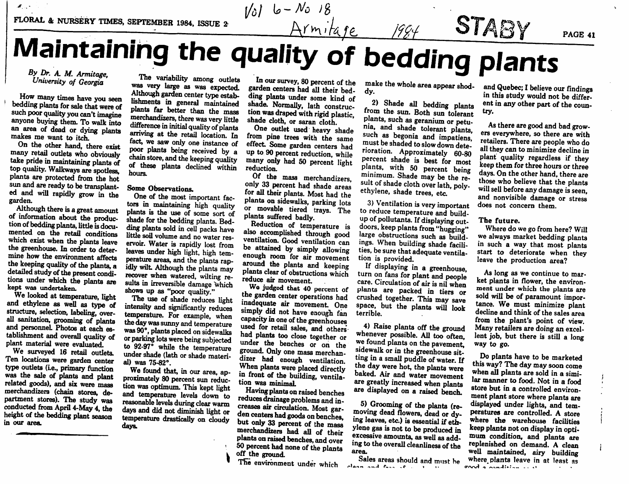## $A$ rmitage  $1994$  **OIASY** IVI AII I LAII IIIIII GULE quality of bedding plants PAGE 41

*t/dl l\*-M >s*

## *<sup>A</sup> M. Armitage, University of Georgia*

 $\mathcal{M}$  .  $\mathcal{M}$ 

How many times have you seen<br>bedding plants for sale that were of such poor quality you can't imagine anyone buying them. To walk into an area of dead or dying plants makes me want to itch.

On the other hand, there exist<br>many retail outlets who obviously take pride in maintaining plants of top quality. Walkways are spotless, plants are protected from the hot ed and will rapidly grow in the garden.<br>Although there is a great amount

of information about the production of bedding plants, little is documented on the retail conditions which exist when the plants leave the greenhouse. In order to deter mine how the environment affects the keeping quality of the plants, a detailed study of the present conditions under which the plants are kept was undertaken.<br>We looked at temperature, light

and ethylene as well as type of structure, selection, labeling, overall sanitation, grooming of plants and personnel. Photos at each es tablishment and overall quality of plant material were evaluated.

We surveyed 16 retail outlets. Ten locations were garden center type outlets (Le., primary function was the sale of plants and plant related goods), and six were mass merchandizers (chain stores, de partment stores). The study was conducted from April 4-May 4, the height of the bedding plant season in our *area.*

The variability among outlets was very large as was expected. Although garden center type establishments in general maintained plants far better than the mass<br>merchandizers, there was very little difference in initial quality of plants arriving at the retail location. In fact, we saw only one instance of poor plants being received by a chain store, and the keeping quality of these plants declined within hours.

## Some Observations.

One of the most important fac tors in maintaining high quality plants is the use of some sort of shade for the bedding plants. Bed ding plants sold in cell packs have little soil volume and no water reservoir. Water is rapidly lost from leaves under high light, high tem-<br>perature areas, and the plants rapidly wilt. Although the plants may recover when watered, wilting re sults in irreversible damage which shows up as "poor quality."

The use of shade reduces light intensity and significantly reduces temperature. For example, when the day was sunny and temperature was 90°, plants placed on sidewalks or parking lots were being subjected to 92-97° while the temperature under shade (lath or shade materi al) was 75-82°.

We found that, in our area, approximately 80 percent sun reduction was optimum. This kept light and temperature levels down to<br>reasonable levels during clear warm days and did not diminish light or temperature drastically on cloudy days.

Inoursurvey, <sup>80</sup> percent of the garden centers had all their bed ding plants under some kind of shade. Normally, lath construction was draped with rigid plastic. shade cloth, or saran cloth.<br>One outlet used heavy shade

from pine trees with the same effect Some garden centers had up to 90 percen<sup>t</sup> reduction, while many only had 50 percent light reduction.

Of the mass merchandizers,<br>only 33 percent had shade areas for all their plants. Most had the plants on sidewalks, parking lots or movable tiered trays. The plants suffered badly.

also accomplished through good ventilation. Good ventilation can be attained by simply allowing<br>enough room for air movement around the plants and keeping plants clear of obstructions which reduce air movement.<br>We judged that 40 percent of

the garden center operations had inadequate air movement. One simply did not have enough fan capacity in one of the greenhouses used for retail sales, and others<br>had plants too close together or under the benches or on the ground. Only one mass merchan-When plants were placed directly<br>in front of the building, ventila-<br>tion was minimal.

Having plants on raised benches<br>reduces drainage problems and in-<br>creases air circulation. Most garden centers had goods on benches, but only 33 percent of the mass merchandizers had all of their<br>plants on raised benches, and over 50 percent had none of the plants off the ground.

The environment under which ,

make the whole area appear shod-<br>dy.

*•*

2) Shade all bedding <sup>p</sup>lants from the sun. Both sun tolerant nia, and shade tolerant plants, such as begonia and impatiens, must be shaded to slow down deterioration. Approximately 60-80 percen<sup>t</sup> shade is best for most plants, with 50 percent being<br>minimum. Shade may be the result of shade cloth over lath, poly-<br>ethylene, shade trees, etc.

3) Ventilation **is**very important to reduce temperature and build-<br>up of pollutants. If displaying outdoors, keep plants from "hugging" large obstructions such as buildings. When building shade facilities, be sure that adequate ventilation is provided.

If displaying in <sup>a</sup> greenhouse, turn on fans for plant and people care. Circulation of air is nil when<br>plants are packed in tiers or crushed together. This may save space, but the plants will look terrible.

4) Raise plants off the ground whenever possible. All too often, we found plants on the pavement, sidewalk or in the greenhouse sitting in a small puddle of water. If the day were hot, the plants were baked. Air and water movement are greatly increased when plants are displayed on <sup>a</sup> raised bench.

5) Grooming of the plants (re-<br>moving dead flowers, dead or dy-<br>ing leaves, etc.) is essential if ethylene gas is not to be produced in excessive amounts, as well as add ing to the overall cleanliness of the area.

Sales areas should and must he *•lair\* <sup>t</sup>\*%\*4 ?•\*>-.-. , <sup>r</sup> i \*•*

and Quebec; I believe our findings in this study would not be differ ent in any other par<sup>t</sup> of the coun try.

As there are good and bad grow ers everywhere, so there are with retailers. There are people who do all they can to minimize decline in plant quality regardless if they keep them for three hours or three days. On the other hand, there are<br>those who believe that the plants will sell before any damage is seen. and nonvisible damage or stress does not concern them.

## The future.

Where do we go from here? Will we always market bedding plants in such <sup>a</sup> way that most plants start to deteriorate when they leave the production area?

As long as we continue to mar ket plants in flower, the environ ment under which the plants are sold will be of paramount importance. We must minimize plant decline and think of the sales area from the plant's point of view. Many retailers are doing an excellent job, but there is still <sup>a</sup> long way to go.

Do plants have to be marketed this way? The day maysoon come when all plants are sold in a similar manner to food. Not in <sup>a</sup> food store but in <sup>a</sup> controlled environ ment plant store where plants are displayed under lights, and tem peratures are controlled. A store where the warehouse facilities keep plants not on display in optimum condition, and plants are<br>replenished on demand. A clean well maintained, airy building where plants leave in at least as